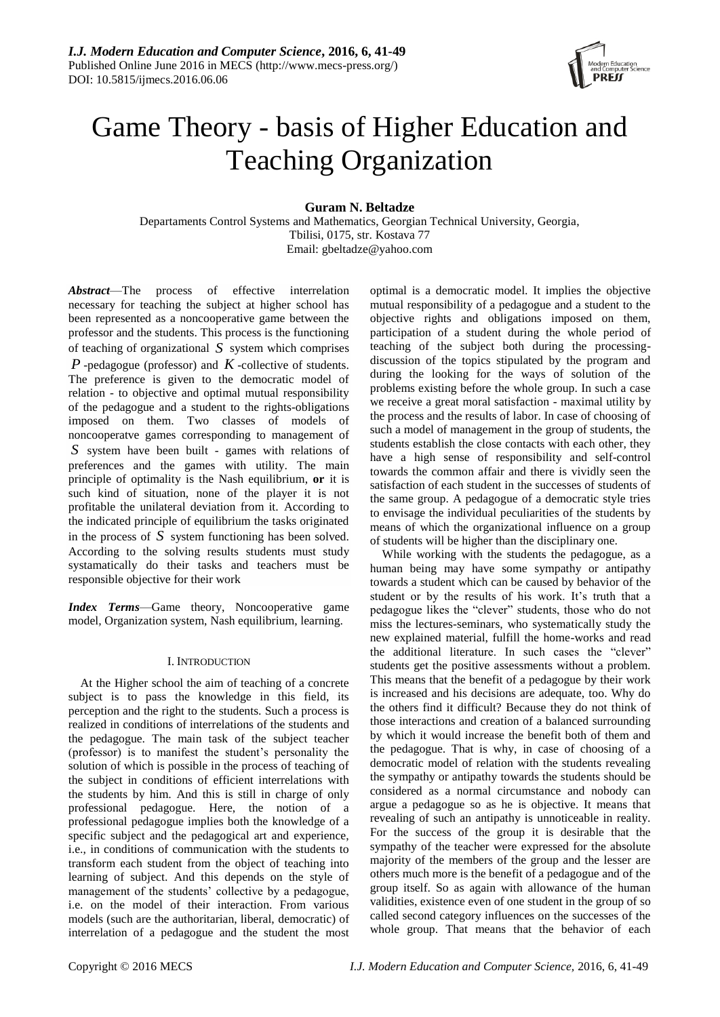

# Game Theory - basis of Higher Education and Teaching Organization

## **Guram N. Beltadze**

Departaments Control Systems and Mathematics, Georgian Technical University, Georgia, Tbilisi, 0175, str. Kostava 77 Email: gbeltadze@yahoo.com

*Abstract*—The process of effective interrelation necessary for teaching the subject at higher school has been represented as a noncooperative game between the professor and the students. This process is the functioning of teaching of organizational *S* system which comprises *P* -pedagogue (professor) and *K* -collective of students. The preference is given to the democratic model of relation - to objective and optimal mutual responsibility of the pedagogue and a student to the rights-obligations imposed on them. Two classes of models of noncooperatve games corresponding to management of *S* system have been built - games with relations of preferences and the games with utility. The main principle of optimality is the Nash equilibrium, **or** it is such kind of situation, none of the player it is not profitable the unilateral deviation from it. According to the indicated principle of equilibrium the tasks originated in the process of  $S$  system functioning has been solved. According to the solving results students must study systamatically do their tasks and teachers must be responsible objective for their work

*Index Terms*—Game theory, Noncooperative game model*,* Organization system, Nash equilibrium, learning.

## I. INTRODUCTION

At the Higher school the aim of teaching of a concrete subject is to pass the knowledge in this field, its perception and the right to the students. Such a process is realized in conditions of interrelations of the students and the pedagogue. The main task of the subject teacher (professor) is to manifest the student's personality the solution of which is possible in the process of teaching of the subject in conditions of efficient interrelations with the students by him. And this is still in charge of only professional pedagogue. Here, the notion of a professional pedagogue implies both the knowledge of a specific subject and the pedagogical art and experience, i.e., in conditions of communication with the students to transform each student from the object of teaching into learning of subject. And this depends on the style of management of the students' collective by a pedagogue, i.e. on the model of their interaction. From various models (such are the authoritarian, liberal, democratic) of interrelation of a pedagogue and the student the most

optimal is a democratic model. It implies the objective mutual responsibility of a pedagogue and a student to the objective rights and obligations imposed on them, participation of a student during the whole period of teaching of the subject both during the processingdiscussion of the topics stipulated by the program and during the looking for the ways of solution of the problems existing before the whole group. In such a case we receive a great moral satisfaction - maximal utility by the process and the results of labor. In case of choosing of such a model of management in the group of students, the students establish the close contacts with each other, they have a high sense of responsibility and self-control towards the common affair and there is vividly seen the satisfaction of each student in the successes of students of the same group. A pedagogue of a democratic style tries to envisage the individual peculiarities of the students by means of which the organizational influence on a group of students will be higher than the disciplinary one.

While working with the students the pedagogue, as a human being may have some sympathy or antipathy towards a student which can be caused by behavior of the student or by the results of his work. It's truth that a pedagogue likes the "clever" students, those who do not miss the lectures-seminars, who systematically study the new explained material, fulfill the home-works and read the additional literature. In such cases the "clever" students get the positive assessments without a problem. This means that the benefit of a pedagogue by their work is increased and his decisions are adequate, too. Why do the others find it difficult? Because they do not think of those interactions and creation of a balanced surrounding by which it would increase the benefit both of them and the pedagogue. That is why, in case of choosing of a democratic model of relation with the students revealing the sympathy or antipathy towards the students should be considered as a normal circumstance and nobody can argue a pedagogue so as he is objective. It means that revealing of such an antipathy is unnoticeable in reality. For the success of the group it is desirable that the sympathy of the teacher were expressed for the absolute majority of the members of the group and the lesser are others much more is the benefit of a pedagogue and of the group itself. So as again with allowance of the human validities, existence even of one student in the group of so called second category influences on the successes of the whole group. That means that the behavior of each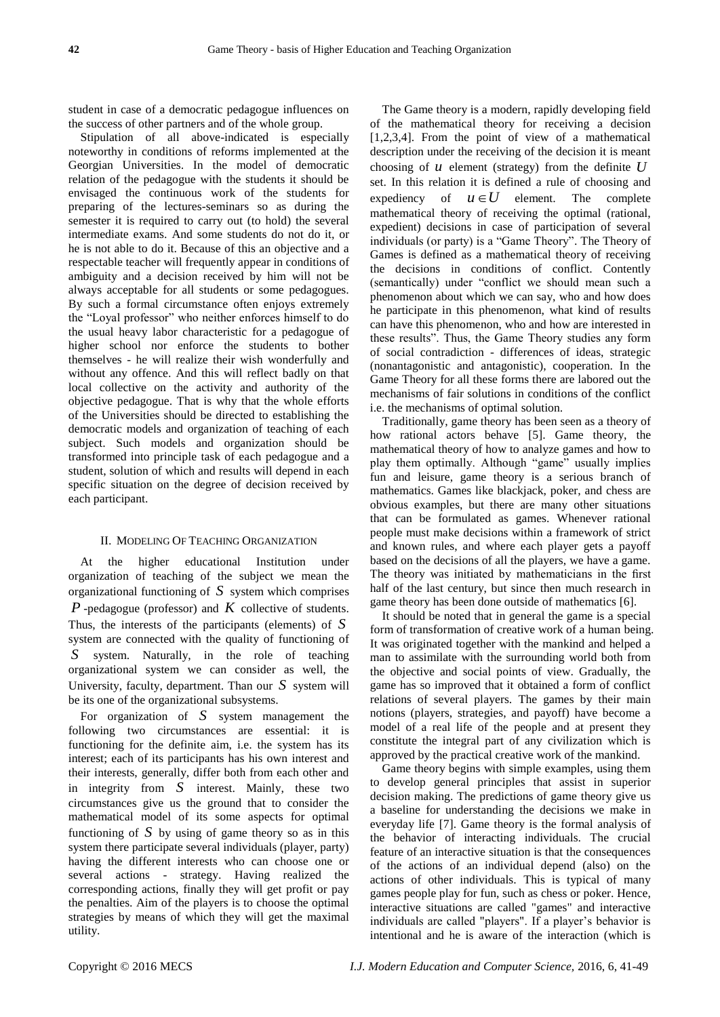student in case of a democratic pedagogue influences on the success of other partners and of the whole group.

Stipulation of all above-indicated is especially noteworthy in conditions of reforms implemented at the Georgian Universities. In the model of democratic relation of the pedagogue with the students it should be envisaged the continuous work of the students for preparing of the lectures-seminars so as during the semester it is required to carry out (to hold) the several intermediate exams. And some students do not do it, or he is not able to do it. Because of this an objective and a respectable teacher will frequently appear in conditions of ambiguity and a decision received by him will not be always acceptable for all students or some pedagogues. By such a formal circumstance often enjoys extremely the "Loyal professor" who neither enforces himself to do the usual heavy labor characteristic for a pedagogue of higher school nor enforce the students to bother themselves - he will realize their wish wonderfully and without any offence. And this will reflect badly on that local collective on the activity and authority of the objective pedagogue. That is why that the whole efforts of the Universities should be directed to establishing the democratic models and organization of teaching of each subject. Such models and organization should be transformed into principle task of each pedagogue and a student, solution of which and results will depend in each specific situation on the degree of decision received by each participant.

#### II. MODELING OF TEACHING ORGANIZATION

At the higher educational Institution under organization of teaching of the subject we mean the organizational functioning of *S* system which comprises *P* -pedagogue (professor) and *K* collective of students. Thus, the interests of the participants (elements) of *S* system are connected with the quality of functioning of *S* system. Naturally, in the role of teaching organizational system we can consider as well, the University, faculty, department. Than our *S* system will be its one of the organizational subsystems.

For organization of *S* system management the following two circumstances are essential: it is functioning for the definite aim, i.e. the system has its interest; each of its participants has his own interest and their interests, generally, differ both from each other and in integrity from *S* interest. Mainly, these two circumstances give us the ground that to consider the mathematical model of its some aspects for optimal functioning of  $S$  by using of game theory so as in this system there participate several individuals (player, party) having the different interests who can choose one or several actions - strategy. Having realized the corresponding actions, finally they will get profit or pay the penalties. Aim of the players is to choose the optimal strategies by means of which they will get the maximal utility.

The Game theory is a modern, rapidly developing field of the mathematical theory for receiving a decision [1,2,3,4]. From the point of view of a mathematical description under the receiving of the decision it is meant choosing of  $u$  element (strategy) from the definite  $U$ set. In this relation it is defined a rule of choosing and expediency of  $u \in U$ element. The complete mathematical theory of receiving the optimal (rational, expedient) decisions in case of participation of several individuals (or party) is a "Game Theory". The Theory of Games is defined as a mathematical theory of receiving the decisions in conditions of conflict. Contently (semantically) under "conflict we should mean such a phenomenon about which we can say, who and how does he participate in this phenomenon, what kind of results can have this phenomenon, who and how are interested in these results". Thus, the Game Theory studies any form of social contradiction - differences of ideas, strategic (nonantagonistic and antagonistic), cooperation. In the Game Theory for all these forms there are labored out the mechanisms of fair solutions in conditions of the conflict i.e. the mechanisms of optimal solution.

Traditionally, game theory has been seen as a theory of how rational actors behave [5]. Game theory, the mathematical theory of how to analyze games and how to play them optimally. Although "game" usually implies fun and leisure, game theory is a serious branch of mathematics. Games like blackjack, poker, and chess are obvious examples, but there are many other situations that can be formulated as games. Whenever rational people must make decisions within a framework of strict and known rules, and where each player gets a payoff based on the decisions of all the players, we have a game. The theory was initiated by mathematicians in the first half of the last century, but since then much research in game theory has been done outside of mathematics [6].

It should be noted that in general the game is a special form of transformation of creative work of a human being. It was originated together with the mankind and helped a man to assimilate with the surrounding world both from the objective and social points of view. Gradually, the game has so improved that it obtained a form of conflict relations of several players. The games by their main notions (players, strategies, and payoff) have become a model of a real life of the people and at present they constitute the integral part of any civilization which is approved by the practical creative work of the mankind.

Game theory begins with simple examples, using them to develop general principles that assist in superior decision making. The predictions of game theory give us a baseline for understanding the decisions we make in everyday life [7]. Game theory is the formal analysis of the behavior of interacting individuals. The crucial feature of an interactive situation is that the consequences of the actions of an individual depend (also) on the actions of other individuals. This is typical of many games people play for fun, such as chess or poker. Hence, interactive situations are called "games" and interactive individuals are called "players". If a player's behavior is intentional and he is aware of the interaction (which is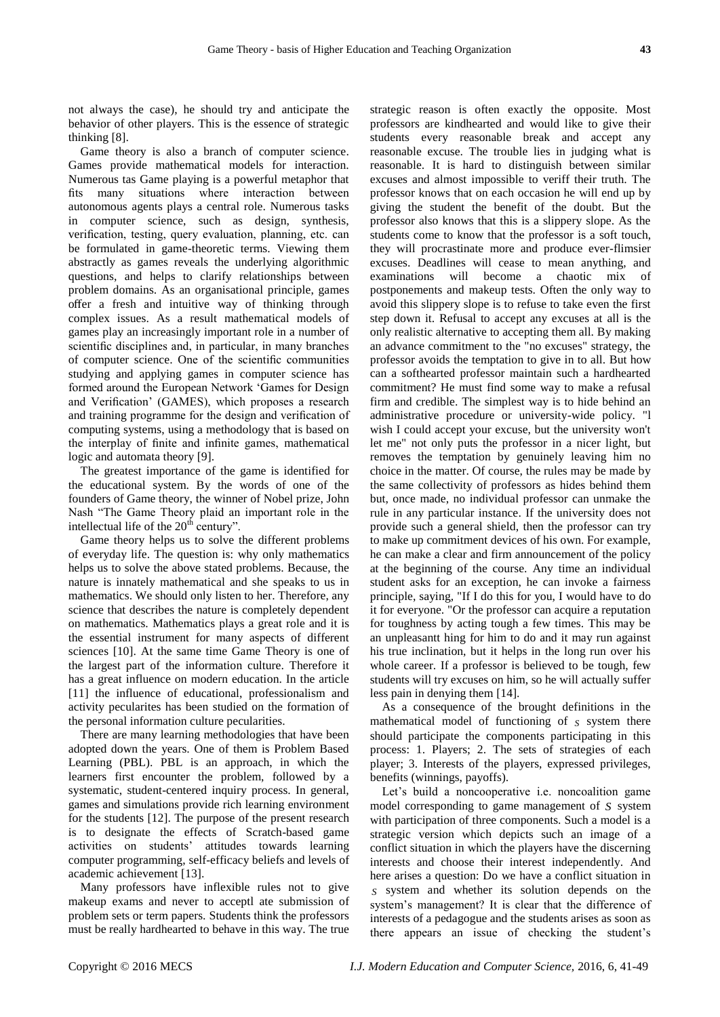not always the case), he should try and anticipate the behavior of other players. This is the essence of strategic thinking [8].

Game theory is also a branch of computer science. Games provide mathematical models for interaction. Numerous tas Game playing is a powerful metaphor that fits many situations where interaction between autonomous agents plays a central role. Numerous tasks in computer science, such as design, synthesis, verification, testing, query evaluation, planning, etc. can be formulated in game-theoretic terms. Viewing them abstractly as games reveals the underlying algorithmic questions, and helps to clarify relationships between problem domains. As an organisational principle, games offer a fresh and intuitive way of thinking through complex issues. As a result mathematical models of games play an increasingly important role in a number of scientific disciplines and, in particular, in many branches of computer science. One of the scientific communities studying and applying games in computer science has formed around the European Network 'Games for Design and Verification' (GAMES), which proposes a research and training programme for the design and verification of computing systems, using a methodology that is based on the interplay of finite and infinite games, mathematical logic and automata theory [9].

The greatest importance of the game is identified for the educational system. By the words of one of the founders of Game theory, the winner of Nobel prize, John Nash "The Game Theory plaid an important role in the intellectual life of the  $20<sup>th</sup>$  century".

Game theory helps us to solve the different problems of everyday life. The question is: why only mathematics helps us to solve the above stated problems. Because, the nature is innately mathematical and she speaks to us in mathematics. We should only listen to her. Therefore, any science that describes the nature is completely dependent on mathematics. Mathematics plays a great role and it is the essential instrument for many aspects of different sciences [10]. At the same time Game Theory is one of the largest part of the information culture. Therefore it has a great influence on modern education. In the article [11] the influence of educational, professionalism and activity pecularites has been studied on the formation of the personal information culture pecularities.

There are many learning methodologies that have been adopted down the years. One of them is Problem Based Learning (PBL). PBL is an approach, in which the learners first encounter the problem, followed by a systematic, student-centered inquiry process. In general, games and simulations provide rich learning environment for the students [12]. The purpose of the present research is to designate the effects of Scratch-based game activities on students' attitudes towards learning computer programming, self-efficacy beliefs and levels of academic achievement [13].

Many professors have inflexible rules not to give makeup exams and never to acceptl ate submission of problem sets or term papers. Students think the professors must be really hardhearted to behave in this way. The true

strategic reason is often exactly the opposite. Most professors are kindhearted and would like to give their students every reasonable break and accept any reasonable excuse. The trouble lies in judging what is reasonable. It is hard to distinguish between similar excuses and almost impossible to veriff their truth. The professor knows that on each occasion he will end up by giving the student the benefit of the doubt. But the professor also knows that this is a slippery slope. As the students come to know that the professor is a soft touch, they will procrastinate more and produce ever-flimsier excuses. Deadlines will cease to mean anything, and examinations will become a chaotic mix of postponements and makeup tests. Often the only way to avoid this slippery slope is to refuse to take even the first step down it. Refusal to accept any excuses at all is the only realistic alternative to accepting them all. By making an advance commitment to the "no excuses" strategy, the professor avoids the temptation to give in to all. But how can a softhearted professor maintain such a hardhearted commitment? He must find some way to make a refusal firm and credible. The simplest way is to hide behind an administrative procedure or university-wide policy. "l wish I could accept your excuse, but the university won't let me" not only puts the professor in a nicer light, but removes the temptation by genuinely leaving him no choice in the matter. Of course, the rules may be made by the same collectivity of professors as hides behind them but, once made, no individual professor can unmake the rule in any particular instance. If the university does not provide such a general shield, then the professor can try to make up commitment devices of his own. For example, he can make a clear and firm announcement of the policy at the beginning of the course. Any time an individual student asks for an exception, he can invoke a fairness principle, saying, "If I do this for you, I would have to do it for everyone. "Or the professor can acquire a reputation for toughness by acting tough a few times. This may be an unpleasantt hing for him to do and it may run against his true inclination, but it helps in the long run over his whole career. If a professor is believed to be tough, few students will try excuses on him, so he will actually suffer less pain in denying them [14].

As a consequence of the brought definitions in the mathematical model of functioning of *S* system there should participate the components participating in this process: 1. Players; 2. The sets of strategies of each player; 3. Interests of the players, expressed privileges, benefits (winnings, payoffs).

Let's build a noncooperative i.e. noncoalition game model corresponding to game management of *S* system with participation of three components. Such a model is a strategic version which depicts such an image of a conflict situation in which the players have the discerning interests and choose their interest independently. And here arises a question: Do we have a conflict situation in *S* system and whether its solution depends on the system's management? It is clear that the difference of interests of a pedagogue and the students arises as soon as there appears an issue of checking the student's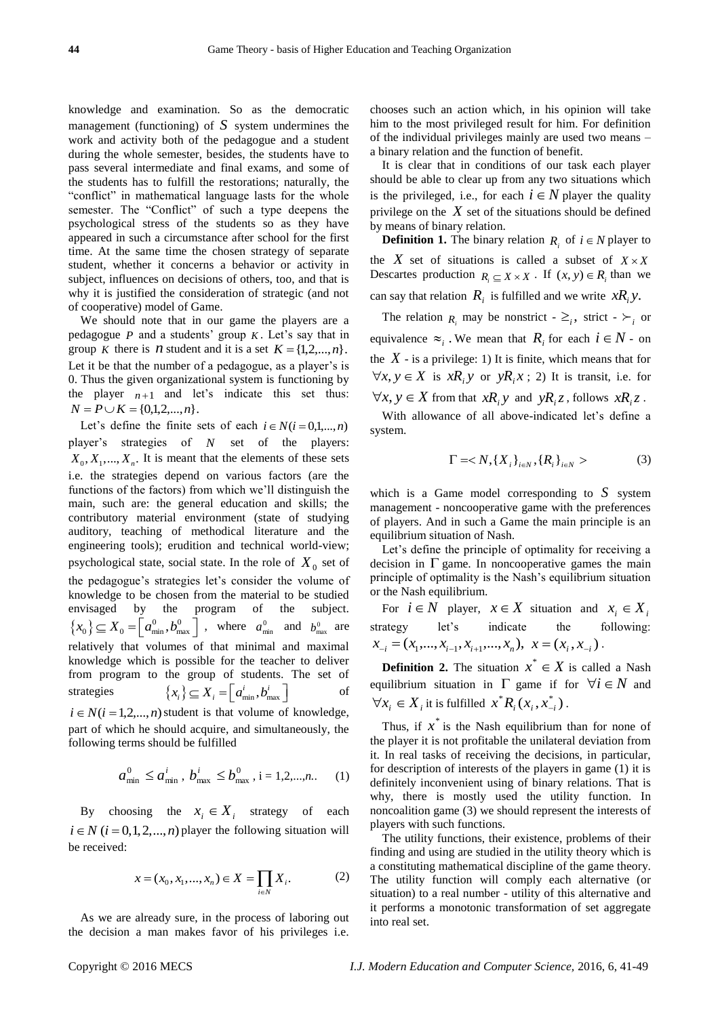knowledge and examination. So as the democratic management (functioning) of  $S$  system undermines the work and activity both of the pedagogue and a student during the whole semester, besides, the students have to pass several intermediate and final exams, and some of the students has to fulfill the restorations; naturally, the "conflict" in mathematical language lasts for the whole semester. The "Conflict" of such a type deepens the psychological stress of the students so as they have appeared in such a circumstance after school for the first time. At the same time the chosen strategy of separate student, whether it concerns a behavior or activity in subject, influences on decisions of others, too, and that is why it is justified the consideration of strategic (and not of cooperative) model of Game.

We should note that in our game the players are a pedagogue  $P$  and a students' group  $K$ . Let's say that in group *K* there is *n* student and it is a set  $K = \{1, 2, ..., n\}$ . Let it be that the number of a pedagogue, as a player's is 0. Thus the given organizational system is functioning by the player  $n+1$  and let's indicate this set thus:  $N = P \cup K = \{0, 1, 2, ..., n\}.$ 

Let's define the finite sets of each  $i \in N$ ( $i = 0,1,...,n$ ) player's strategies of *N* set of the players:  $X_0, X_1, \ldots, X_n$ . It is meant that the elements of these sets i.e. the strategies depend on various factors (are the functions of the factors) from which we'll distinguish the main, such are: the general education and skills; the contributory material environment (state of studying auditory, teaching of methodical literature and the engineering tools); erudition and technical world-view; psychological state, social state. In the role of  $X_0$  set of the pedagogue's strategies let's consider the volume of knowledge to be chosen from the material to be studied envisaged by the program of the subject.  $\{x_0\} \subseteq X_0 = \left[a_{\min}^0, b_{\max}^0\right]$ , where  $a_{\min}^0$  and  $b_{\max}^0$  are relatively that volumes of that minimal and maximal knowledge which is possible for the teacher to deliver from program to the group of students. The set of strategies  ${x_i} \subseteq X_i = [a_{\min}^i, b_{\max}^i]$ of  $i \in N$ ( $i = 1, 2, \ldots, n$ ) student is that volume of knowledge,

part of which he should acquire, and simultaneously, the following terms should be fulfilled

$$
a_{\min}^0 \le a_{\min}^i, b_{\max}^i \le b_{\max}^0, i = 1, 2, \dots, n.
$$
 (1)

By choosing the  $x_i \in X_i$  strategy of each  $i \in N$  ( $i = 0, 1, 2, ..., n$ ) player the following situation will be received:

$$
x = (x_0, x_1, ..., x_n) \in X = \prod_{i \in N} X_i.
$$
 (2)

As we are already sure, in the process of laboring out the decision a man makes favor of his privileges i.e.

chooses such an action which, in his opinion will take him to the most privileged result for him. For definition of the individual privileges mainly are used two means – a binary relation and the function of benefit.

It is clear that in conditions of our task each player should be able to clear up from any two situations which is the privileged, i.e., for each  $i \in N$  player the quality privilege on the  $X$  set of the situations should be defined by means of binary relation.

**Definition 1.** The binary relation  $R_i$  of  $i \in N$  player to the X set of situations is called a subset of  $X \times X$ Descartes production  $R_i \subseteq X \times X$ . If  $(x, y) \in R_i$  than we can say that relation  $R_i$  is fulfilled and we write  $xR_i y$ .

The relation  $R_i$  may be nonstrict -  $\geq_i$ , strict -  $\succ_i$  or equivalence  $\approx_i$ . We mean that  $R_i$  for each  $i \in N$  - on the  $X$  - is a privilege: 1) It is finite, which means that for  $\forall x, y \in X$  is  $xR_i y$  or  $yR_i x$ ; 2) It is transit, i.e. for  $\forall x, y \in X$  from that  $xR_i y$  and  $yR_i z$ , follows  $xR_i z$ .

With allowance of all above-indicated let's define a system.

$$
\Gamma =
$$
 (3)

which is a Game model corresponding to *S* system management - noncooperative game with the preferences of players. And in such a Game the main principle is an equilibrium situation of Nash.

Let's define the principle of optimality for receiving a decision in  $\Gamma$  game. In noncooperative games the main principle of optimality is the Nash's equilibrium situation or the Nash equilibrium.

For  $i \in N$  player,  $x \in X$  situation and  $x_i \in X_i$ strategy let's indicate the following:  $x_{-i} = (x_1, ..., x_{i-1}, x_{i+1}, ..., x_n), x = (x_i, x_{-i}).$ 

**Definition 2.** The situation  $x^* \in X$  is called a Nash equilibrium situation in  $\Gamma$  game if for  $\forall i \in \mathbb{N}$  and  $\forall x_i \in X_i$  it is fulfilled  $x^* R_i(x_i, x_{-i}^*)$  $x^*R_i(x_i, x_{-i}^*)$ .

Thus, if  $x^*$  is the Nash equilibrium than for none of the player it is not profitable the unilateral deviation from it. In real tasks of receiving the decisions, in particular, for description of interests of the players in game (1) it is definitely inconvenient using of binary relations. That is why, there is mostly used the utility function. In noncoalition game (3) we should represent the interests of players with such functions.

The utility functions, their existence, problems of their finding and using are studied in the utility theory which is a constituting mathematical discipline of the game theory. The utility function will comply each alternative (or situation) to a real number - utility of this alternative and it performs a monotonic transformation of set aggregate into real set.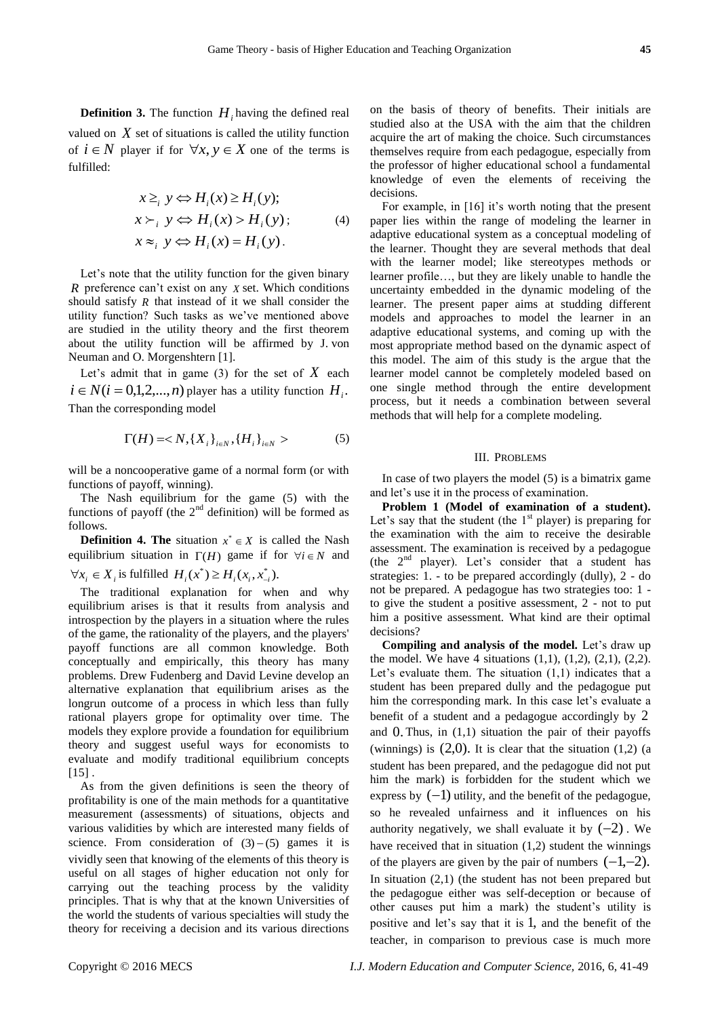**Definition 3.** The function  $H_i$  having the defined real valued on  $X$  set of situations is called the utility function of  $i \in N$  player if for  $\forall x, y \in X$  one of the terms is fulfilled:

$$
x \geq_i y \Leftrightarrow H_i(x) \geq H_i(y);
$$
  
\n
$$
x \succ_i y \Leftrightarrow H_i(x) > H_i(y);
$$
  
\n
$$
x \approx_i y \Leftrightarrow H_i(x) = H_i(y).
$$
  
\n(4)

Let's note that the utility function for the given binary *R* preference can't exist on any *X* set. Which conditions should satisfy  *that instead of it we shall consider the* utility function? Such tasks as we've mentioned above are studied in the utility theory and the first theorem about the utility function will be affirmed by J. von Neuman and O. Morgenshtern [1].

Let's admit that in game  $(3)$  for the set of  $X$  each  $i \in N$  ( $i = 0,1,2,...,n$ ) player has a utility function  $H_i$ . Than the corresponding model

$$
\Gamma(H) =  (5)
$$

will be a noncooperative game of a normal form (or with functions of payoff, winning).

The Nash equilibrium for the game (5) with the functions of payoff (the  $2<sup>nd</sup>$  definition) will be formed as follows.

**Definition 4. The** situation  $x^* \in X$  is called the Nash equilibrium situation in  $\Gamma(H)$  game if for  $\forall i \in N$  and  $\forall x_i \in X_i$  is fulfilled  $H_i(x^*) \ge H_i(x_i, x_{-i}^*)$ .

The traditional explanation for when and why equilibrium arises is that it results from analysis and introspection by the players in a situation where the rules of the game, the rationality of the players, and the players' payoff functions are all common knowledge. Both conceptually and empirically, this theory has many problems. Drew Fudenberg and David Levine develop an alternative explanation that equilibrium arises as the longrun outcome of a process in which less than fully rational players grope for optimality over time. The models they explore provide a foundation for equilibrium theory and suggest useful ways for economists to evaluate and modify traditional equilibrium concepts  $[15]$ .

As from the given definitions is seen the theory of profitability is one of the main methods for a quantitative measurement (assessments) of situations, objects and various validities by which are interested many fields of science. From consideration of  $(3) - (5)$  games it is vividly seen that knowing of the elements of this theory is useful on all stages of higher education not only for carrying out the teaching process by the validity principles. That is why that at the known Universities of the world the students of various specialties will study the theory for receiving a decision and its various directions

on the basis of theory of benefits. Their initials are studied also at the USA with the aim that the children acquire the art of making the choice. Such circumstances themselves require from each pedagogue, especially from the professor of higher educational school a fundamental knowledge of even the elements of receiving the decisions.

For example, in [16] it's worth noting that the present paper lies within the range of modeling the learner in adaptive educational system as a conceptual modeling of the learner. Thought they are several methods that deal with the learner model; like stereotypes methods or learner profile…, but they are likely unable to handle the uncertainty embedded in the dynamic modeling of the learner. The present paper aims at studding different models and approaches to model the learner in an adaptive educational systems, and coming up with the most appropriate method based on the dynamic aspect of this model. The aim of this study is the argue that the learner model cannot be completely modeled based on one single method through the entire development process, but it needs a combination between several methods that will help for a complete modeling.

#### III. PROBLEMS

In case of two players the model (5) is a bimatrix game and let's use it in the process of examination.

**Problem 1 (Model of examination of a student).**  Let's say that the student (the  $1<sup>st</sup>$  player) is preparing for the examination with the aim to receive the desirable assessment. The examination is received by a pedagogue (the  $2<sup>nd</sup>$  player). Let's consider that a student has strategies: 1. - to be prepared accordingly (dully), 2 - do not be prepared. A pedagogue has two strategies too: 1 to give the student a positive assessment, 2 - not to put him a positive assessment. What kind are their optimal decisions?

**Compiling and analysis of the model.** Let's draw up the model. We have 4 situations  $(1,1)$ ,  $(1,2)$ ,  $(2,1)$ ,  $(2,2)$ . Let's evaluate them. The situation  $(1,1)$  indicates that a student has been prepared dully and the pedagogue put him the corresponding mark. In this case let's evaluate a benefit of a student and a pedagogue accordingly by 2 and 0. Thus, in (1,1) situation the pair of their payoffs (winnings) is  $(2,0)$ . It is clear that the situation  $(1,2)$  (a student has been prepared, and the pedagogue did not put him the mark) is forbidden for the student which we express by  $(-1)$  utility, and the benefit of the pedagogue, so he revealed unfairness and it influences on his authority negatively, we shall evaluate it by  $(-2)$ . We have received that in situation (1,2) student the winnings of the players are given by the pair of numbers  $(-1,-2)$ . In situation (2,1) (the student has not been prepared but the pedagogue either was self-deception or because of other causes put him a mark) the student's utility is positive and let's say that it is 1, and the benefit of the teacher, in comparison to previous case is much more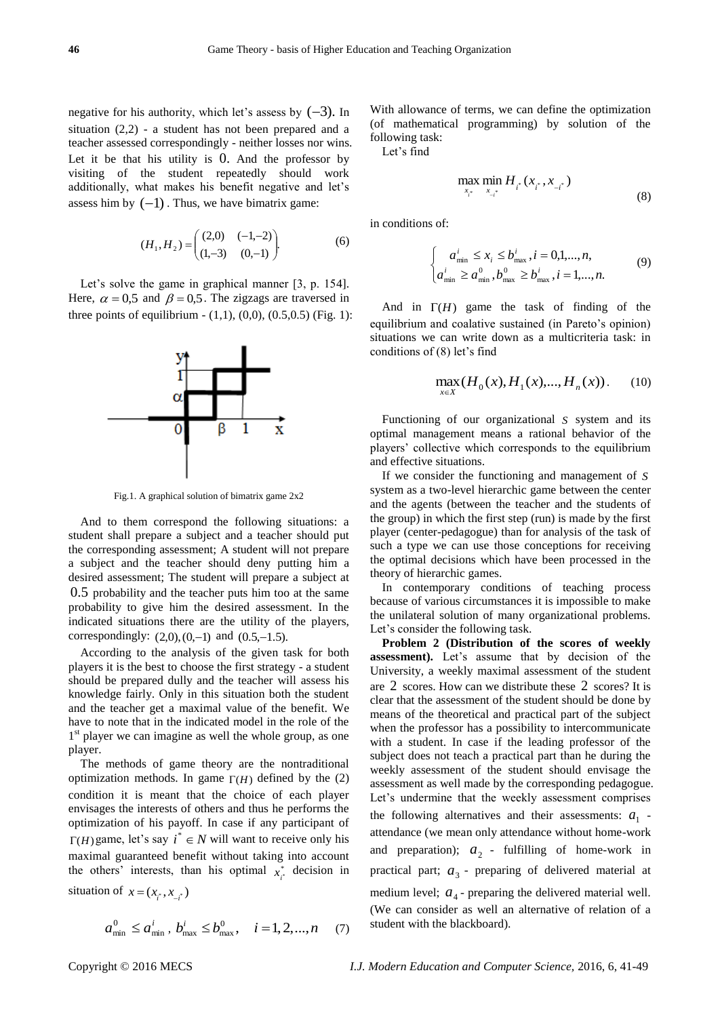negative for his authority, which let's assess by  $(-3)$ . In situation (2,2) - a student has not been prepared and a teacher assessed correspondingly - neither losses nor wins. Let it be that his utility is 0. And the professor by visiting of the student repeatedly should work additionally, what makes his benefit negative and let's assess him by  $(-1)$ . Thus, we have bimatrix game:

$$
(H_1, H_2) = \begin{pmatrix} (2,0) & (-1,-2) \\ (1,-3) & (0,-1) \end{pmatrix}.
$$
 (6)

Let's solve the game in graphical manner [3, p. 154]. Here,  $\alpha = 0.5$  and  $\beta = 0.5$ . The zigzags are traversed in three points of equilibrium  $- (1,1), (0,0), (0.5,0.5)$  (Fig. 1):



Fig.1. A graphical solution of bimatrix game 2x2

And to them correspond the following situations: a student shall prepare a subject and a teacher should put the corresponding assessment; A student will not prepare a subject and the teacher should deny putting him a desired assessment; The student will prepare a subject at 0.5 probability and the teacher puts him too at the same probability to give him the desired assessment. In the indicated situations there are the utility of the players, correspondingly:  $(2,0)$ ,  $(0,-1)$  and  $(0.5,-1.5)$ .

According to the analysis of the given task for both players it is the best to choose the first strategy - a student should be prepared dully and the teacher will assess his knowledge fairly. Only in this situation both the student and the teacher get a maximal value of the benefit. We have to note that in the indicated model in the role of the 1<sup>st</sup> player we can imagine as well the whole group, as one player.

The methods of game theory are the nontraditional optimization methods. In game  $\Gamma(H)$  defined by the (2) condition it is meant that the choice of each player envisages the interests of others and thus he performs the optimization of his payoff. In case if any participant of  $\Gamma(H)$  game, let's say  $i^* \in N$  will want to receive only his maximal guaranteed benefit without taking into account the others' interests, than his optimal  $x_i^*$  decision in situation of  $x = (x_{i^*}, x_{i^*})$ 

$$
a_{\min}^0 \le a_{\min}^i, b_{\max}^i \le b_{\max}^0, \quad i = 1, 2, ..., n
$$
 (7)

With allowance of terms, we can define the optimization (of mathematical programming) by solution of the following task:

Let's find

$$
\max_{x_i^*} \min_{x_{-i^*}} H_{i^*}(x_{i^*}, x_{-i^*})
$$
\n(8)

in conditions of:

$$
\begin{cases}\n a_{\min}^i \le x_i \le b_{\max}^i, i = 0,1,...,n, \\
a_{\min}^i \ge a_{\min}^0, b_{\max}^0 \ge b_{\max}^i, i = 1,...,n.\n\end{cases} (9)
$$

And in  $\Gamma(H)$  game the task of finding of the equilibrium and coalative sustained (in Pareto's opinion) situations we can write down as a multicriteria task: in conditions of (8) let's find

$$
\max_{x \in X} (H_0(x), H_1(x), ..., H_n(x)). \tag{10}
$$

Functioning of our organizational *S* system and its optimal management means a rational behavior of the players' collective which corresponds to the equilibrium and effective situations.

If we consider the functioning and management of *S* system as a two-level hierarchic game between the center and the agents (between the teacher and the students of the group) in which the first step (run) is made by the first player (center-pedagogue) than for analysis of the task of such a type we can use those conceptions for receiving the optimal decisions which have been processed in the theory of hierarchic games.

In contemporary conditions of teaching process because of various circumstances it is impossible to make the unilateral solution of many organizational problems. Let's consider the following task.

**Problem 2 (Distribution of the scores of weekly assessment).** Let's assume that by decision of the University, a weekly maximal assessment of the student are 2 scores. How can we distribute these 2 scores? It is clear that the assessment of the student should be done by means of the theoretical and practical part of the subject when the professor has a possibility to intercommunicate with a student. In case if the leading professor of the subject does not teach a practical part than he during the weekly assessment of the student should envisage the assessment as well made by the corresponding pedagogue. Let's undermine that the weekly assessment comprises the following alternatives and their assessments:  $a_1$  attendance (we mean only attendance without home-work and preparation);  $a_2$  - fulfilling of home-work in practical part;  $a_3$  - preparing of delivered material at medium level;  $a_4$ - preparing the delivered material well. (We can consider as well an alternative of relation of a student with the blackboard).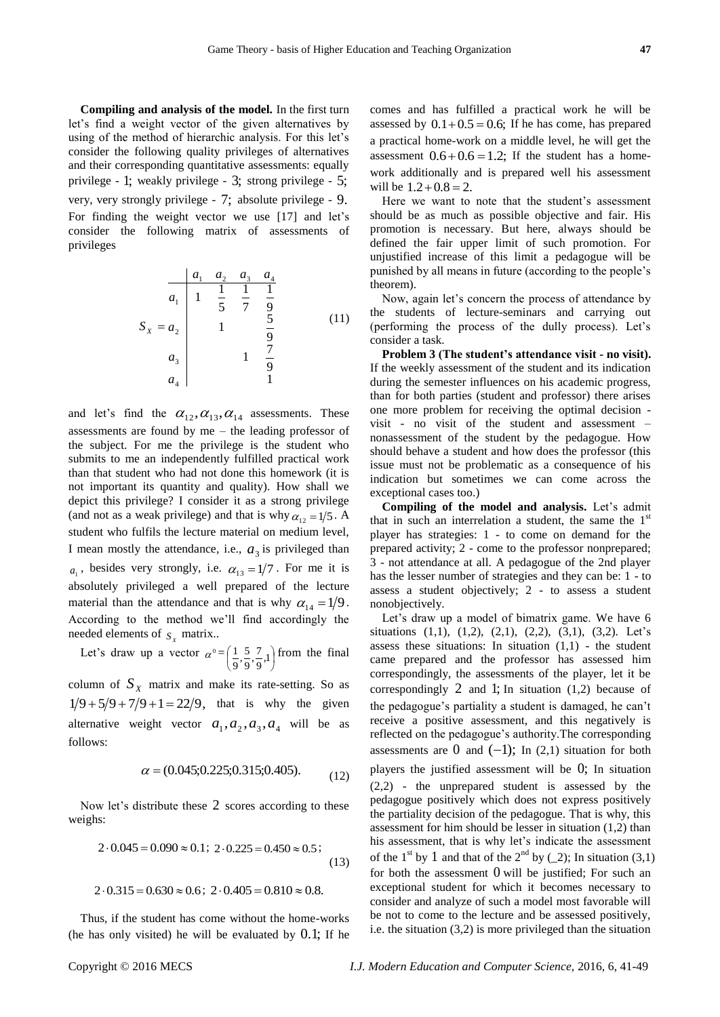**Compiling and analysis of the model.** In the first turn let's find a weight vector of the given alternatives by using of the method of hierarchic analysis. For this let's consider the following quality privileges of alternatives and their corresponding quantitative assessments: equally privilege - 1; weakly privilege - 3; strong privilege - 5; very, very strongly privilege - 7; absolute privilege - 9. For finding the weight vector we use [17] and let's consider the following matrix of assessments of privileges

$$
S_{x} = a_{2} \begin{vmatrix} a_{1} & a_{2} & a_{3} & a_{4} \\ 1 & \frac{1}{5} & \frac{1}{7} & \frac{1}{9} \\ 1 & \frac{5}{9} & & \\ a_{3} & 1 & \frac{7}{9} \\ a_{4} & 1 & & \end{vmatrix}
$$
 (11)

and let's find the  $\alpha_{12}, \alpha_{13}, \alpha_{14}$  assessments. These assessments are found by me – the leading professor of the subject. For me the privilege is the student who submits to me an independently fulfilled practical work than that student who had not done this homework (it is not important its quantity and quality). How shall we depict this privilege? I consider it as a strong privilege (and not as a weak privilege) and that is why  $\alpha_{12} = 1/5$ . A student who fulfils the lecture material on medium level, I mean mostly the attendance, i.e.,  $a_3$  is privileged than  $a_1$ , besides very strongly, i.e.  $\alpha_{13} = 1/7$ . For me it is absolutely privileged a well prepared of the lecture material than the attendance and that is why  $\alpha_{14} = 1/9$ . According to the method we'll find accordingly the needed elements of  $S_X$  matrix...

Let's draw up a vector  $\alpha^0 = \left(\frac{1}{9}, \frac{5}{9}, \frac{7}{9}, 1\right)$  $\left(\frac{1}{9}, \frac{5}{9}, \frac{7}{9}, 1\right)$  $\left(\frac{1}{9}, \frac{5}{9}, \frac{7}{9}, 1\right)$  $\frac{5}{9}, \frac{7}{9}$  $\frac{1}{9}, \frac{5}{9}$  $\frac{1}{2}$   $\frac{5}{2}$   $\frac{7}{1}$  from the final

column of  $S_X$  matrix and make its rate-setting. So as  $1/9 + 5/9 + 7/9 + 1 = 22/9$ , that is why the given alternative weight vector  $a_1, a_2, a_3, a_4$  will be as follows:

$$
\alpha = (0.045; 0.225; 0.315; 0.405). \tag{12}
$$

(0.045;0.225;0.315;0.405).

Now let's distribute these 2 scores according to these weighs:

$$
2 \cdot 0.045 = 0.090 \approx 0.1; \ 2 \cdot 0.225 = 0.450 \approx 0.5; \tag{13}
$$

$$
2 \cdot 0.315 = 0.630 \approx 0.6; \ 2 \cdot 0.405 = 0.810 \approx 0.8.
$$

Thus, if the student has come without the home-works (he has only visited) he will be evaluated by 0.1; If he comes and has fulfilled a practical work he will be assessed by  $0.1+0.5=0.6$ ; If he has come, has prepared a practical home-work on a middle level, he will get the assessment  $0.6+0.6=1.2$ ; If the student has a homework additionally and is prepared well his assessment will be  $1.2+0.8 = 2$ .

Here we want to note that the student's assessment should be as much as possible objective and fair. His promotion is necessary. But here, always should be defined the fair upper limit of such promotion. For unjustified increase of this limit a pedagogue will be punished by all means in future (according to the people's theorem).

Now, again let's concern the process of attendance by the students of lecture-seminars and carrying out (performing the process of the dully process). Let's consider a task.

**Problem 3 (The student's attendance visit - no visit).** If the weekly assessment of the student and its indication during the semester influences on his academic progress, than for both parties (student and professor) there arises one more problem for receiving the optimal decision visit - no visit of the student and assessment – nonassessment of the student by the pedagogue. How should behave a student and how does the professor (this issue must not be problematic as a consequence of his indication but sometimes we can come across the exceptional cases too.)

**Compiling of the model and analysis.** Let's admit that in such an interrelation a student, the same the  $1<sup>st</sup>$ player has strategies: 1 - to come on demand for the prepared activity; 2 - come to the professor nonprepared; 3 - not attendance at all. A pedagogue of the 2nd player has the lesser number of strategies and they can be: 1 - to assess a student objectively; 2 - to assess a student nonobjectively.

Let's draw up a model of bimatrix game. We have 6 situations  $(1,1)$ ,  $(1,2)$ ,  $(2,1)$ ,  $(2,2)$ ,  $(3,1)$ ,  $(3,2)$ . Let's assess these situations: In situation  $(1,1)$  - the student came prepared and the professor has assessed him correspondingly, the assessments of the player, let it be correspondingly  $2$  and  $1$ ; In situation  $(1,2)$  because of the pedagogue's partiality a student is damaged, he can't receive a positive assessment, and this negatively is reflected on the pedagogue's authority.The corresponding assessments are  $0$  and  $(-1)$ ; In  $(2,1)$  situation for both players the justified assessment will be 0; In situation (2,2) - the unprepared student is assessed by the pedagogue positively which does not express positively the partiality decision of the pedagogue. That is why, this assessment for him should be lesser in situation (1,2) than his assessment, that is why let's indicate the assessment of the 1<sup>st</sup> by 1 and that of the 2<sup>nd</sup> by (\_2); In situation (3,1) for both the assessment 0 will be justified; For such an exceptional student for which it becomes necessary to consider and analyze of such a model most favorable will be not to come to the lecture and be assessed positively, i.e. the situation (3,2) is more privileged than the situation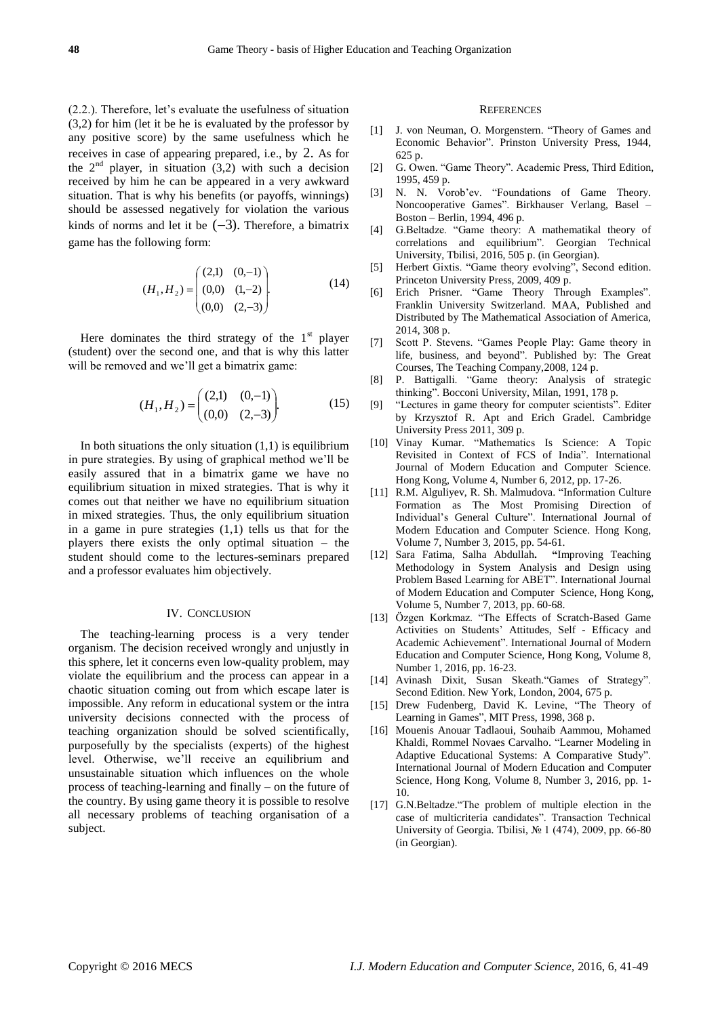(2.2.). Therefore, let's evaluate the usefulness of situation (3,2) for him (let it be he is evaluated by the professor by any positive score) by the same usefulness which he receives in case of appearing prepared, i.e., by 2. As for the  $2<sup>nd</sup>$  player, in situation (3,2) with such a decision received by him he can be appeared in a very awkward situation. That is why his benefits (or payoffs, winnings) should be assessed negatively for violation the various kinds of norms and let it be  $(-3)$ . Therefore, a bimatrix game has the following form:

$$
(H_1, H_2) = \begin{pmatrix} (2,1) & (0,-1) \\ (0,0) & (1,-2) \\ (0,0) & (2,-3) \end{pmatrix} .
$$
 (14)

Here dominates the third strategy of the  $1<sup>st</sup>$  player (student) over the second one, and that is why this latter will be removed and we'll get a bimatrix game:

$$
(H_1, H_2) = \begin{pmatrix} (2,1) & (0,-1) \\ (0,0) & (2,-3) \end{pmatrix}.
$$
 (15)

In both situations the only situation  $(1,1)$  is equilibrium in pure strategies. By using of graphical method we'll be easily assured that in a bimatrix game we have no equilibrium situation in mixed strategies. That is why it comes out that neither we have no equilibrium situation in mixed strategies. Thus, the only equilibrium situation in a game in pure strategies (1,1) tells us that for the players there exists the only optimal situation – the student should come to the lectures-seminars prepared and a professor evaluates him objectively.

#### IV. CONCLUSION

The teaching-learning process is a very tender organism. The decision received wrongly and unjustly in this sphere, let it concerns even low-quality problem, may violate the equilibrium and the process can appear in a chaotic situation coming out from which escape later is impossible. Any reform in educational system or the intra university decisions connected with the process of teaching organization should be solved scientifically, purposefully by the specialists (experts) of the highest level. Otherwise, we'll receive an equilibrium and unsustainable situation which influences on the whole process of teaching-learning and finally – on the future of the country. By using game theory it is possible to resolve all necessary problems of teaching organisation of a subject.

#### **REFERENCES**

- [1] J. von Neuman, O. Morgenstern. "Theory of Games and Economic Behavior". Prinston University Press, 1944, 625 p.
- [2] G. Owen. "Game Theory". Academic Press, Third Edition, 1995, 459 p.
- [3] N. N. Vorob'ev. "Foundations of Game Theory. Noncooperative Games". Birkhauser Verlang, Basel -Boston – Berlin, 1994, 496 p.
- [4] G.Beltadze. "Game theory: A mathematikal theory of correlations and equilibrium". Georgian Technical University, Tbilisi, 2016, 505 p. (in Georgian).
- [5] Herbert Gixtis. "Game theory evolving", Second edition. Princeton University Press, 2009, 409 p.
- [6] Erich Prisner. "Game Theory Through Examples". Franklin University Switzerland. MAA, Published and Distributed by The Mathematical Association of America, 2014, 308 p.
- [7] Scott P. Stevens. "Games People Play: Game theory in life, business, and beyond". Published by: The Great Courses, The Teaching Company,2008, 124 p.
- [8] P. Battigalli. "Game theory: Analysis of strategic thinking". Bocconi University, Milan, 1991, 178 p.
- [9] "Lectures in game theory for computer scientists". Editer by Krzysztof R. Apt and Erich Gradel. Cambridge University Press 2011, 309 p.
- [10] Vinay Kumar. "Mathematics Is Science: A Topic Revisited in Context of FCS of India". International Journal of Modern Education and Computer Science. Hong Kong, Volume 4, Number 6, 2012, pp. 17-26.
- [11] R.M. Alguliyev, R. Sh. Malmudova. "Information Culture Formation as The Most Promising Direction of Individual's General Culture". International Journal of Modern Education and Computer Science. Hong Kong, Volume 7, Number 3, 2015, pp. 54-61.
- [12] Sara Fatima, Salha Abdullah**. "**Improving Teaching Methodology in System Analysis and Design using Problem Based Learning for ABET". International Journal of Modern Education and Computer Science*,* Hong Kong, Volume 5, Number 7, 2013, pp. 60-68.
- [13] Özgen Korkmaz. "The Effects of Scratch-Based Game Activities on Students' Attitudes, Self - Efficacy and Academic Achievement". International Journal of Modern Education and Computer Science*,* Hong Kong, Volume 8, Number 1, 2016, pp. 16-23.
- [14] Avinash Dixit, Susan Skeath."Games of Strategy". Second Edition. New York, London, 2004, 675 p.
- [15] Drew Fudenberg, David K. Levine, "The Theory of Learning in Games", MIT Press, 1998, 368 p.
- [16] Mouenis Anouar Tadlaoui, Souhaib Aammou, Mohamed Khaldi, Rommel Novaes Carvalho. "Learner Modeling in Adaptive Educational Systems: A Comparative Study". International Journal of Modern Education and Computer Science*,* Hong Kong, Volume 8, Number 3, 2016, pp. 1- 10.
- [17] G.N.Beltadze. "The problem of multiple election in the case of multicriteria candidates". Transaction Technical University of Georgia. Tbilisi, № 1 (474), 2009, pp. 66-80 (in Georgian).